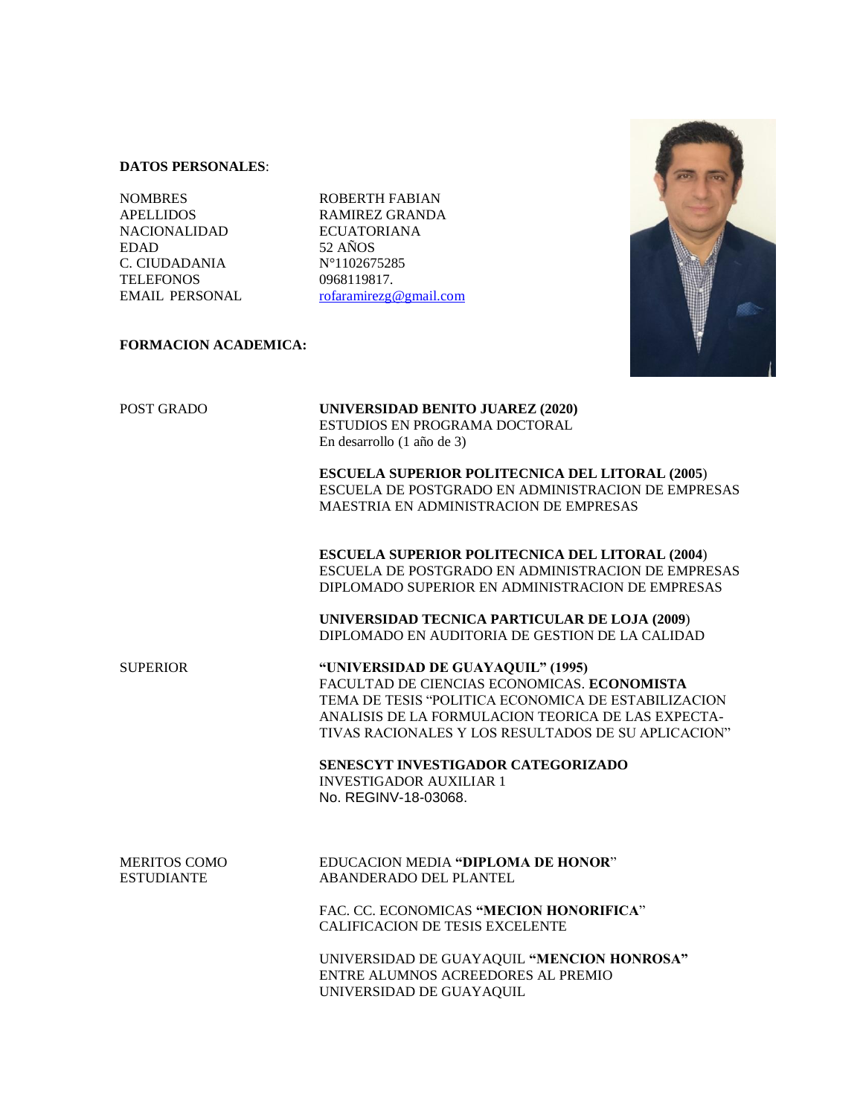## **DATOS PERSONALES**:

NOMBRES ROBERTH FABIAN NACIONALIDAD ECUATORIANA EDAD 52 AÑOS C. CIUDADANIA N°1102675285 TELEFONOS 0968119817.

APELLIDOS RAMIREZ GRANDA EMAIL PERSONAL [rofaramirezg@gmail.com](mailto:rramirezgranda@gmail.com)



# **FORMACION ACADEMICA:**

POST GRADO **UNIVERSIDAD BENITO JUAREZ (2020)** ESTUDIOS EN PROGRAMA DOCTORAL En desarrollo (1 año de 3)

> **ESCUELA SUPERIOR POLITECNICA DEL LITORAL (2005**) ESCUELA DE POSTGRADO EN ADMINISTRACION DE EMPRESAS MAESTRIA EN ADMINISTRACION DE EMPRESAS

> **ESCUELA SUPERIOR POLITECNICA DEL LITORAL (2004**) ESCUELA DE POSTGRADO EN ADMINISTRACION DE EMPRESAS DIPLOMADO SUPERIOR EN ADMINISTRACION DE EMPRESAS

**UNIVERSIDAD TECNICA PARTICULAR DE LOJA (2009**) DIPLOMADO EN AUDITORIA DE GESTION DE LA CALIDAD

SUPERIOR **"UNIVERSIDAD DE GUAYAQUIL" (1995)** FACULTAD DE CIENCIAS ECONOMICAS. **ECONOMISTA** TEMA DE TESIS "POLITICA ECONOMICA DE ESTABILIZACION ANALISIS DE LA FORMULACION TEORICA DE LAS EXPECTA- TIVAS RACIONALES Y LOS RESULTADOS DE SU APLICACION"

> **SENESCYT INVESTIGADOR CATEGORIZADO** INVESTIGADOR AUXILIAR 1 No. REGINV-18-03068.

MERITOS COMO EDUCACION MEDIA **"DIPLOMA DE HONOR**" ESTUDIANTE ABANDERADO DEL PLANTEL

> FAC. CC. ECONOMICAS **"MECION HONORIFICA**" CALIFICACION DE TESIS EXCELENTE

UNIVERSIDAD DE GUAYAQUIL **"MENCION HONROSA"** ENTRE ALUMNOS ACREEDORES AL PREMIO UNIVERSIDAD DE GUAYAQUIL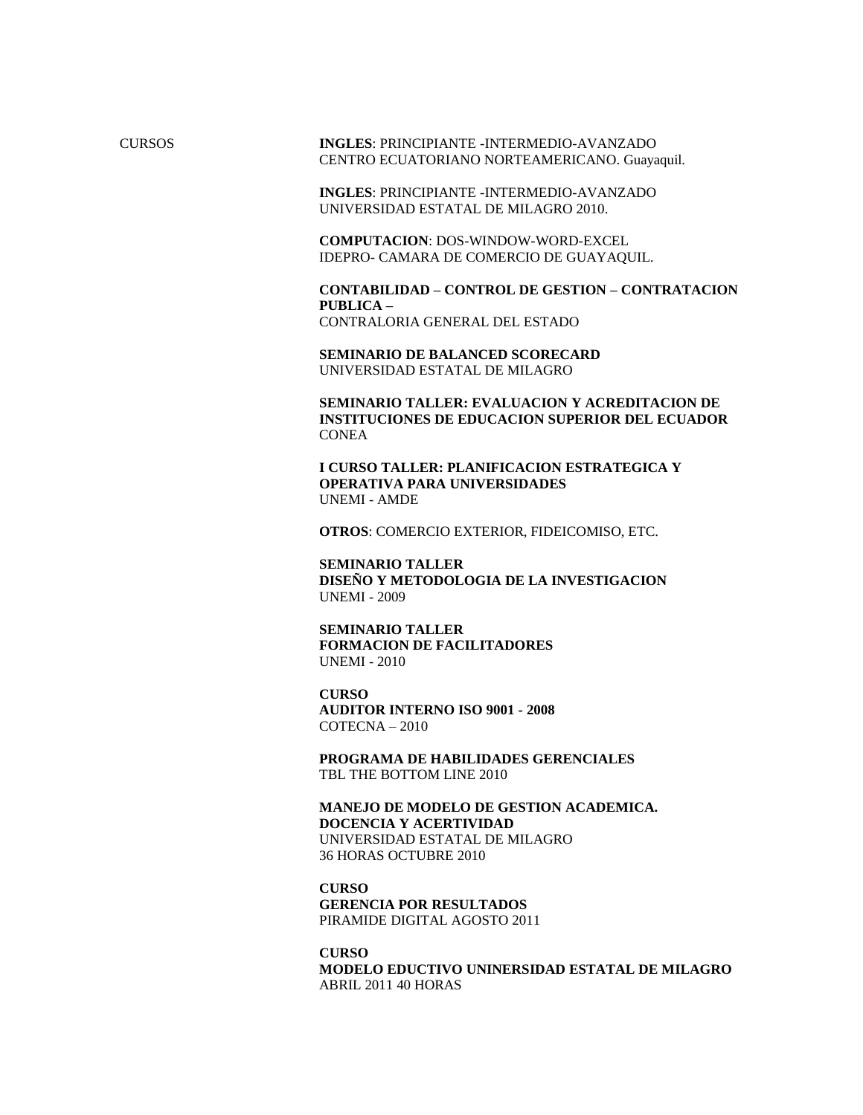CURSOS **INGLES**: PRINCIPIANTE -INTERMEDIO-AVANZADO CENTRO ECUATORIANO NORTEAMERICANO. Guayaquil.

> **INGLES**: PRINCIPIANTE -INTERMEDIO-AVANZADO UNIVERSIDAD ESTATAL DE MILAGRO 2010.

**COMPUTACION**: DOS-WINDOW-WORD-EXCEL IDEPRO- CAMARA DE COMERCIO DE GUAYAQUIL.

**CONTABILIDAD – CONTROL DE GESTION – CONTRATACION PUBLICA –**  CONTRALORIA GENERAL DEL ESTADO

**SEMINARIO DE BALANCED SCORECARD** UNIVERSIDAD ESTATAL DE MILAGRO

**SEMINARIO TALLER: EVALUACION Y ACREDITACION DE INSTITUCIONES DE EDUCACION SUPERIOR DEL ECUADOR CONEA** 

**I CURSO TALLER: PLANIFICACION ESTRATEGICA Y OPERATIVA PARA UNIVERSIDADES** UNEMI - AMDE

**OTROS**: COMERCIO EXTERIOR, FIDEICOMISO, ETC.

**SEMINARIO TALLER DISEÑO Y METODOLOGIA DE LA INVESTIGACION** UNEMI - 2009

**SEMINARIO TALLER FORMACION DE FACILITADORES** UNEMI - 2010

**CURSO AUDITOR INTERNO ISO 9001 - 2008** COTECNA – 2010

**PROGRAMA DE HABILIDADES GERENCIALES** TBL THE BOTTOM LINE 2010

**MANEJO DE MODELO DE GESTION ACADEMICA. DOCENCIA Y ACERTIVIDAD** UNIVERSIDAD ESTATAL DE MILAGRO 36 HORAS OCTUBRE 2010

**CURSO GERENCIA POR RESULTADOS** PIRAMIDE DIGITAL AGOSTO 2011

**CURSO MODELO EDUCTIVO UNINERSIDAD ESTATAL DE MILAGRO** ABRIL 2011 40 HORAS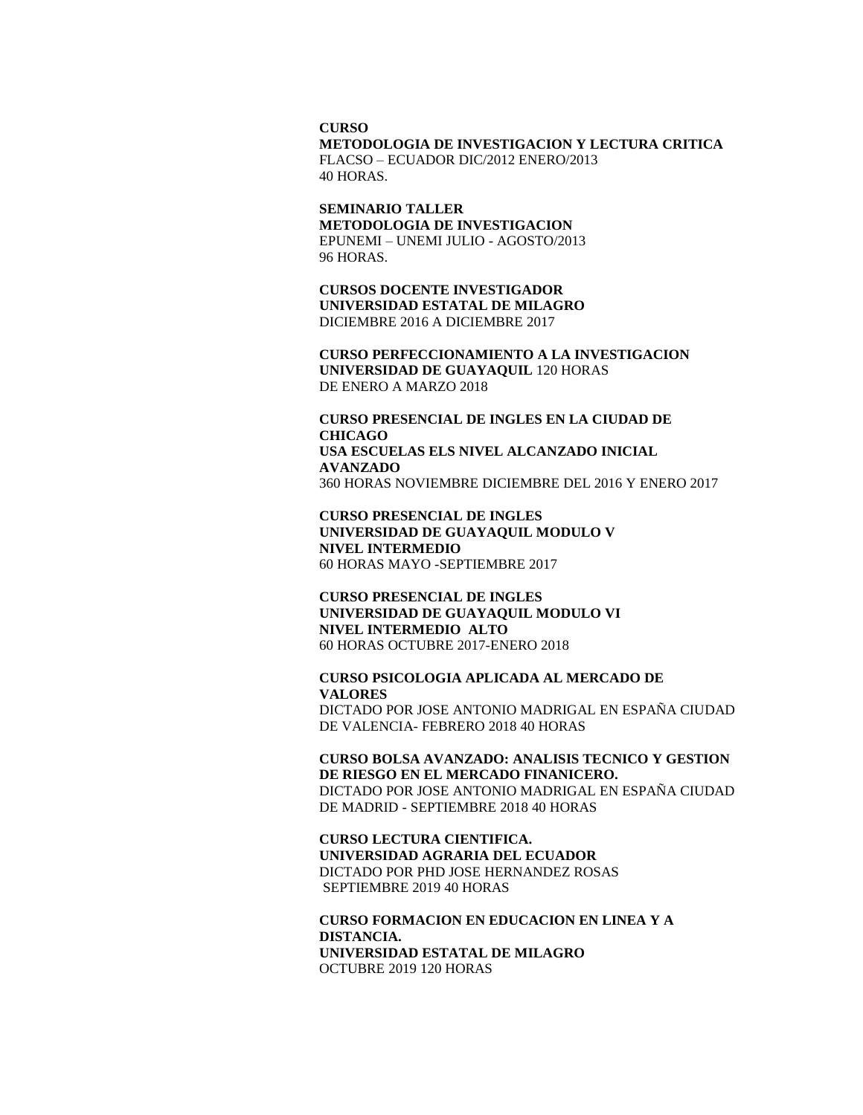#### **CURSO**

**METODOLOGIA DE INVESTIGACION Y LECTURA CRITICA** FLACSO – ECUADOR DIC/2012 ENERO/2013 40 HORAS.

**SEMINARIO TALLER METODOLOGIA DE INVESTIGACION** EPUNEMI – UNEMI JULIO - AGOSTO/2013 96 HORAS.

**CURSOS DOCENTE INVESTIGADOR UNIVERSIDAD ESTATAL DE MILAGRO** DICIEMBRE 2016 A DICIEMBRE 2017

**CURSO PERFECCIONAMIENTO A LA INVESTIGACION UNIVERSIDAD DE GUAYAQUIL** 120 HORAS DE ENERO A MARZO 2018

**CURSO PRESENCIAL DE INGLES EN LA CIUDAD DE CHICAGO USA ESCUELAS ELS NIVEL ALCANZADO INICIAL AVANZADO**  360 HORAS NOVIEMBRE DICIEMBRE DEL 2016 Y ENERO 2017

**CURSO PRESENCIAL DE INGLES UNIVERSIDAD DE GUAYAQUIL MODULO V NIVEL INTERMEDIO**  60 HORAS MAYO -SEPTIEMBRE 2017

**CURSO PRESENCIAL DE INGLES UNIVERSIDAD DE GUAYAQUIL MODULO VI NIVEL INTERMEDIO ALTO** 60 HORAS OCTUBRE 2017-ENERO 2018

### **CURSO PSICOLOGIA APLICADA AL MERCADO DE VALORES** DICTADO POR JOSE ANTONIO MADRIGAL EN ESPAÑA CIUDAD

DE VALENCIA- FEBRERO 2018 40 HORAS

### **CURSO BOLSA AVANZADO: ANALISIS TECNICO Y GESTION DE RIESGO EN EL MERCADO FINANICERO.**  DICTADO POR JOSE ANTONIO MADRIGAL EN ESPAÑA CIUDAD DE MADRID - SEPTIEMBRE 2018 40 HORAS

**CURSO LECTURA CIENTIFICA. UNIVERSIDAD AGRARIA DEL ECUADOR**  DICTADO POR PHD JOSE HERNANDEZ ROSAS SEPTIEMBRE 2019 40 HORAS

## **CURSO FORMACION EN EDUCACION EN LINEA Y A DISTANCIA. UNIVERSIDAD ESTATAL DE MILAGRO** OCTUBRE 2019 120 HORAS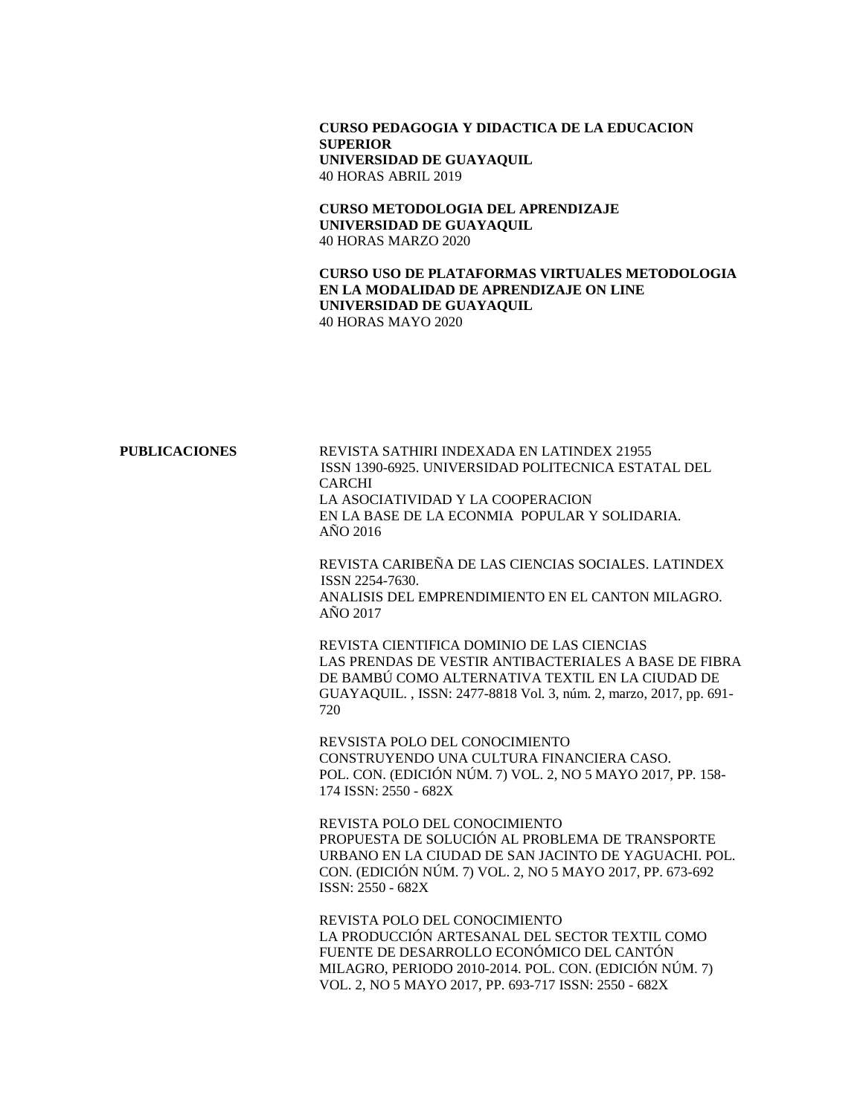## **CURSO PEDAGOGIA Y DIDACTICA DE LA EDUCACION SUPERIOR UNIVERSIDAD DE GUAYAQUIL**  40 HORAS ABRIL 2019

**CURSO METODOLOGIA DEL APRENDIZAJE UNIVERSIDAD DE GUAYAQUIL**  40 HORAS MARZO 2020

**CURSO USO DE PLATAFORMAS VIRTUALES METODOLOGIA EN LA MODALIDAD DE APRENDIZAJE ON LINE UNIVERSIDAD DE GUAYAQUIL**  40 HORAS MAYO 2020

| PUBLICACIONES | REVISTA SATHIRI INDEXADA EN LATINDEX 21955<br>ISSN 1390-6925. UNIVERSIDAD POLITECNICA ESTATAL DEL<br><b>CARCHI</b><br>LA ASOCIATIVIDAD Y LA COOPERACION<br>EN LA BASE DE LA ECONMIA POPULAR Y SOLIDARIA.<br>AÑO 2016                            |
|---------------|-------------------------------------------------------------------------------------------------------------------------------------------------------------------------------------------------------------------------------------------------|
|               | REVISTA CARIBEÑA DE LAS CIENCIAS SOCIALES, LATINDEX<br>ISSN 2254-7630.<br>ANALISIS DEL EMPRENDIMIENTO EN EL CANTON MILAGRO.<br>AÑO 2017                                                                                                         |
|               | REVISTA CIENTIFICA DOMINIO DE LAS CIENCIAS<br>LAS PRENDAS DE VESTIR ANTIBACTERIALES A BASE DE FIBRA<br>DE BAMBÚ COMO ALTERNATIVA TEXTIL EN LA CIUDAD DE<br>GUAYAQUIL., ISSN: 2477-8818 Vol. 3, núm. 2, marzo, 2017, pp. 691-<br>720             |
|               | REVSISTA POLO DEL CONOCIMIENTO<br>CONSTRUYENDO UNA CULTURA FINANCIERA CASO.<br>POL. CON. (EDICIÓN NÚM. 7) VOL. 2, NO 5 MAYO 2017, PP. 158-<br>174 ISSN: 2550 - 682X                                                                             |
|               | REVISTA POLO DEL CONOCIMIENTO<br>PROPUESTA DE SOLUCIÓN AL PROBLEMA DE TRANSPORTE<br>URBANO EN LA CIUDAD DE SAN JACINTO DE YAGUACHI. POL.<br>CON. (EDICIÓN NÚM. 7) VOL. 2, NO 5 MAYO 2017, PP. 673-692<br>ISSN: 2550 - 682X                      |
|               | REVISTA POLO DEL CONOCIMIENTO<br>LA PRODUCCIÓN ARTESANAL DEL SECTOR TEXTIL COMO<br>FUENTE DE DESARROLLO ECONÓMICO DEL CANTÓN<br>MILAGRO, PERIODO 2010-2014. POL. CON. (EDICIÓN NÚM. 7)<br>VOL. 2, NO 5 MAYO 2017, PP. 693-717 ISSN: 2550 - 682X |
|               |                                                                                                                                                                                                                                                 |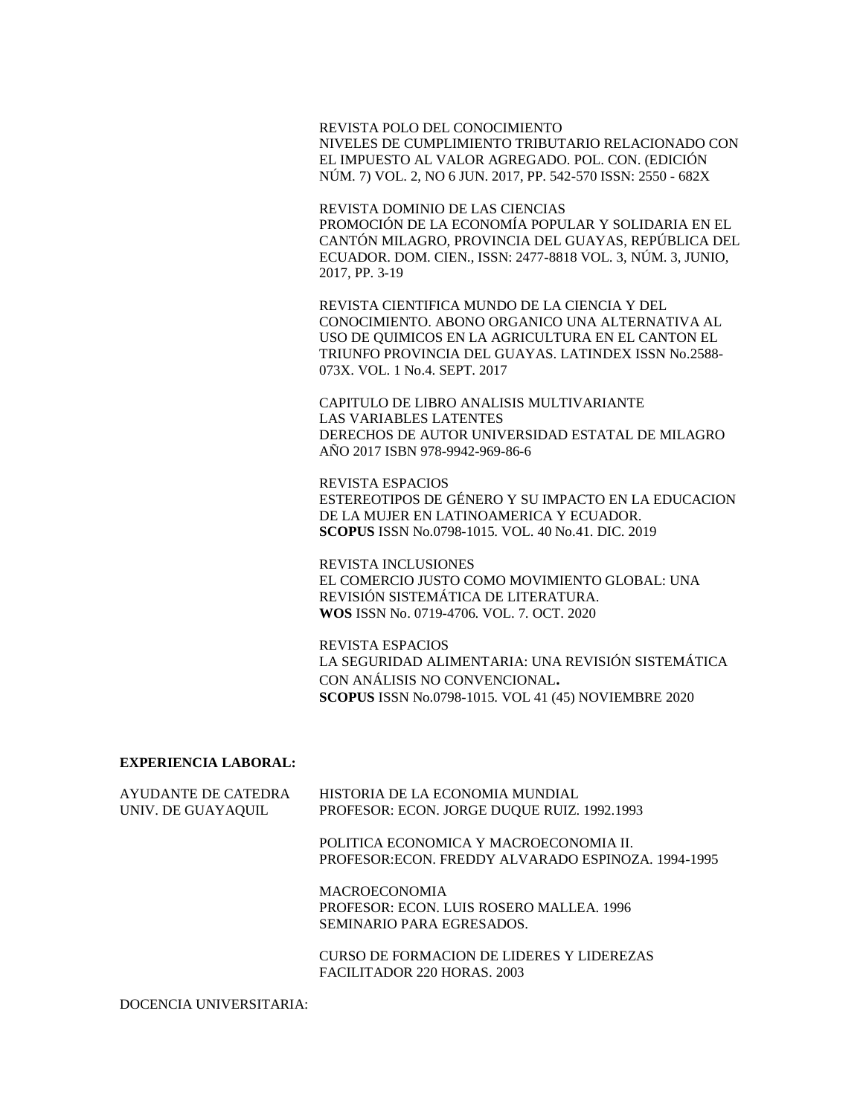REVISTA POLO DEL CONOCIMIENTO NIVELES DE CUMPLIMIENTO TRIBUTARIO RELACIONADO CON EL IMPUESTO AL VALOR AGREGADO. POL. CON. (EDICIÓN NÚM. 7) VOL. 2, NO 6 JUN. 2017, PP. 542-570 ISSN: 2550 - 682X

REVISTA DOMINIO DE LAS CIENCIAS PROMOCIÓN DE LA ECONOMÍA POPULAR Y SOLIDARIA EN EL CANTÓN MILAGRO, PROVINCIA DEL GUAYAS, REPÚBLICA DEL ECUADOR. DOM. CIEN., ISSN: 2477-8818 VOL. 3, NÚM. 3, JUNIO, 2017, PP. 3-19

REVISTA CIENTIFICA MUNDO DE LA CIENCIA Y DEL CONOCIMIENTO. ABONO ORGANICO UNA ALTERNATIVA AL USO DE QUIMICOS EN LA AGRICULTURA EN EL CANTON EL TRIUNFO PROVINCIA DEL GUAYAS. LATINDEX ISSN No.2588- 073X. VOL. 1 No.4. SEPT. 2017

CAPITULO DE LIBRO ANALISIS MULTIVARIANTE LAS VARIABLES LATENTES DERECHOS DE AUTOR UNIVERSIDAD ESTATAL DE MILAGRO AÑO 2017 ISBN 978-9942-969-86-6

REVISTA ESPACIOS ESTEREOTIPOS DE GÉNERO Y SU IMPACTO EN LA EDUCACION DE LA MUJER EN LATINOAMERICA Y ECUADOR. **SCOPUS** ISSN No.0798-1015. VOL. 40 No.41. DIC. 2019

REVISTA INCLUSIONES EL COMERCIO JUSTO COMO MOVIMIENTO GLOBAL: UNA REVISIÓN SISTEMÁTICA DE LITERATURA. **WOS** ISSN No. 0719-4706. VOL. 7. OCT. 2020

REVISTA ESPACIOS LA SEGURIDAD ALIMENTARIA: UNA REVISIÓN SISTEMÁTICA CON ANÁLISIS NO CONVENCIONAL**. SCOPUS** ISSN No.0798-1015. VOL 41 (45) NOVIEMBRE 2020

### **EXPERIENCIA LABORAL:**

| AYUDANTE DE CATEDRA<br>UNIV. DE GUAYAQUIL | HISTORIA DE LA ECONOMIA MUNDIAL<br>PROFESOR: ECON. JORGE DUQUE RUIZ. 1992.1993                |
|-------------------------------------------|-----------------------------------------------------------------------------------------------|
|                                           | POLITICA ECONOMICA Y MACROECONOMIA II.<br>PROFESOR: ECON. FREDDY ALVARADO ESPINOZA. 1994-1995 |
|                                           | <b>MACROECONOMIA</b><br>PROFESOR: ECON. LUIS ROSERO MALLEA. 1996<br>SEMINARIO PARA EGRESADOS. |
|                                           | <b>CURSO DE FORMACION DE LIDERES Y LIDEREZAS</b>                                              |

FACILITADOR 220 HORAS. 2003

DOCENCIA UNIVERSITARIA: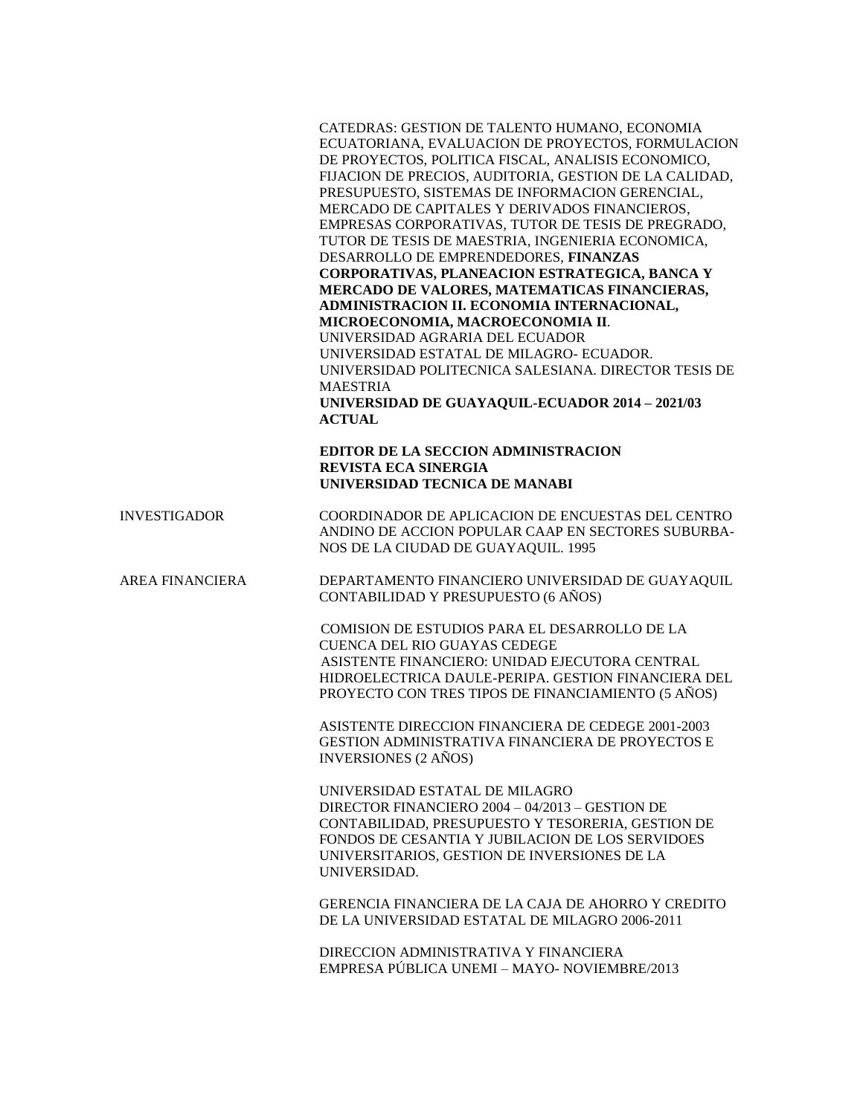CATEDRAS: GESTION DE TALENTO HUMANO, ECONOMIA ECUATORIANA, EVALUACION DE PROYECTOS, FORMULACION DE PROYECTOS, POLITICA FISCAL, ANALISIS ECONOMICO, FIJACION DE PRECIOS, AUDITORIA, GESTION DE LA CALIDAD, PRESUPUESTO, SISTEMAS DE INFORMACION GERENCIAL, MERCADO DE CAPITALES Y DERIVADOS FINANCIEROS, EMPRESAS CORPORATIVAS, TUTOR DE TESIS DE PREGRADO, TUTOR DE TESIS DE MAESTRIA, INGENIERIA ECONOMICA, DESARROLLO DE EMPRENDEDORES, **FINANZAS CORPORATIVAS, PLANEACION ESTRATEGICA, BANCA Y MERCADO DE VALORES, MATEMATICAS FINANCIERAS, ADMINISTRACION II. ECONOMIA INTERNACIONAL, MICROECONOMIA, MACROECONOMIA II**. UNIVERSIDAD AGRARIA DEL ECUADOR UNIVERSIDAD ESTATAL DE MILAGRO- ECUADOR. UNIVERSIDAD POLITECNICA SALESIANA. DIRECTOR TESIS DE MAESTRIA **UNIVERSIDAD DE GUAYAQUIL-ECUADOR 2014 – 2021/03 ACTUAL**

## **EDITOR DE LA SECCION ADMINISTRACION REVISTA ECA SINERGIA UNIVERSIDAD TECNICA DE MANABI**

INVESTIGADOR COORDINADOR DE APLICACION DE ENCUESTAS DEL CENTRO ANDINO DE ACCION POPULAR CAAP EN SECTORES SUBURBA-NOS DE LA CIUDAD DE GUAYAQUIL. 1995

AREA FINANCIERA DEPARTAMENTO FINANCIERO UNIVERSIDAD DE GUAYAQUIL CONTABILIDAD Y PRESUPUESTO (6 AÑOS)

> COMISION DE ESTUDIOS PARA EL DESARROLLO DE LA CUENCA DEL RIO GUAYAS CEDEGE ASISTENTE FINANCIERO: UNIDAD EJECUTORA CENTRAL HIDROELECTRICA DAULE-PERIPA. GESTION FINANCIERA DEL PROYECTO CON TRES TIPOS DE FINANCIAMIENTO (5 AÑOS)

ASISTENTE DIRECCION FINANCIERA DE CEDEGE 2001-2003 GESTION ADMINISTRATIVA FINANCIERA DE PROYECTOS E INVERSIONES (2 AÑOS)

UNIVERSIDAD ESTATAL DE MILAGRO DIRECTOR FINANCIERO 2004 – 04/2013 – GESTION DE CONTABILIDAD, PRESUPUESTO Y TESORERIA, GESTION DE FONDOS DE CESANTIA Y JUBILACION DE LOS SERVIDOES UNIVERSITARIOS, GESTION DE INVERSIONES DE LA UNIVERSIDAD.

GERENCIA FINANCIERA DE LA CAJA DE AHORRO Y CREDITO DE LA UNIVERSIDAD ESTATAL DE MILAGRO 2006-2011

DIRECCION ADMINISTRATIVA Y FINANCIERA EMPRESA PÚBLICA UNEMI – MAYO- NOVIEMBRE/2013